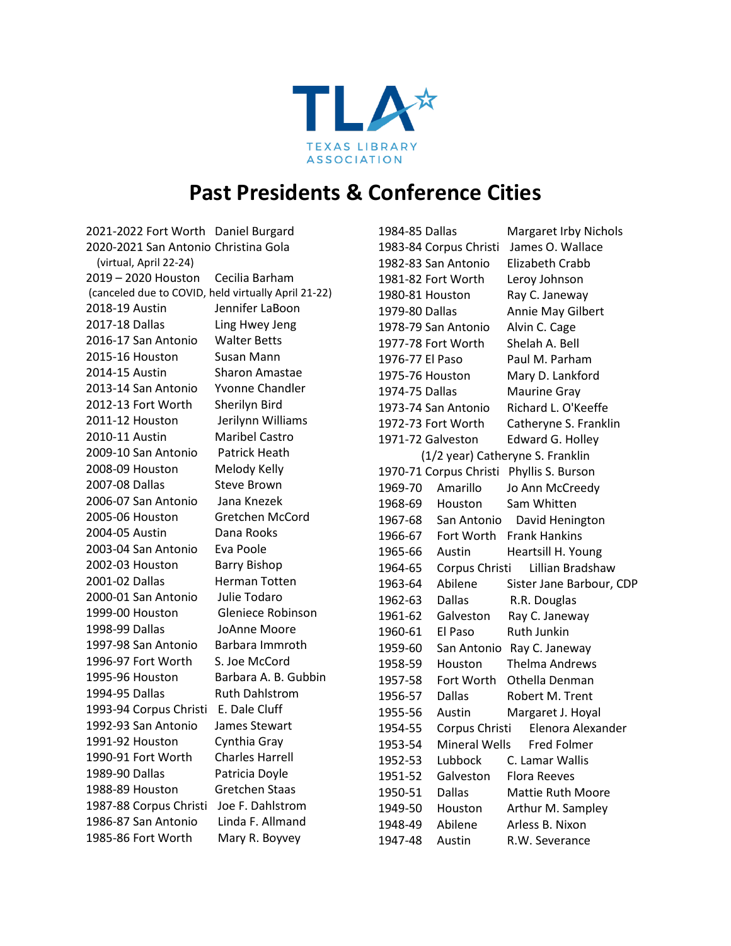

## **Past Presidents & Conference Cities**

2021-2022 Fort Worth Daniel Burgard 2020-2021 San Antonio Christina Gola (virtual, April 22-24) 2019 – 2020 Houston Cecilia Barham (canceled due to COVID, held virtually April 21-22) 2018-19 Austin Jennifer LaBoon 2017-18 Dallas Ling Hwey Jeng 2016-17 San Antonio Walter Betts 2015-16 Houston Susan Mann 2014-15 Austin Sharon Amastae 2013-14 San Antonio Yvonne Chandler 2012-13 Fort Worth Sherilyn Bird 2011-12 Houston Jerilynn Williams 2010-11 Austin Maribel Castro 2009-10 San Antonio Patrick Heath 2008-09 Houston Melody Kelly 2007-08 Dallas Steve Brown 2006-07 San Antonio Jana Knezek 2005-06 Houston Gretchen McCord 2004-05 Austin Dana Rooks 2003-04 San Antonio Eva Poole 2002-03 Houston Barry Bishop 2001-02 Dallas Herman Totten 2000-01 San Antonio Julie Todaro 1999-00 Houston Gleniece Robinson 1998-99 Dallas JoAnne Moore 1997-98 San Antonio Barbara Immroth 1996-97 Fort Worth S. Joe McCord 1995-96 Houston Barbara A. B. Gubbin 1994-95 Dallas Ruth Dahlstrom 1993-94 Corpus Christi E. Dale Cluff 1992-93 San Antonio James Stewart 1991-92 Houston Cynthia Gray 1990-91 Fort Worth Charles Harrell 1989-90 Dallas Patricia Doyle 1988-89 Houston Gretchen Staas 1987-88 Corpus Christi Joe F. Dahlstrom 1986-87 San Antonio Linda F. Allmand 1985-86 Fort Worth Mary R. Boyvey

1984-85 Dallas Margaret Irby Nichols 1983-84 Corpus Christi James O. Wallace 1982-83 San Antonio Elizabeth Crabb 1981-82 Fort Worth Leroy Johnson 1980-81 Houston Ray C. Janeway 1979-80 Dallas Annie May Gilbert 1978-79 San Antonio Alvin C. Cage 1977-78 Fort Worth Shelah A. Bell 1976-77 El Paso Paul M. Parham 1975-76 Houston Mary D. Lankford 1974-75 Dallas Maurine Gray 1973-74 San Antonio Richard L. O'Keeffe 1972-73 Fort Worth Catheryne S. Franklin 1971-72 Galveston Edward G. Holley (1/2 year) Catheryne S. Franklin 1970-71 Corpus Christi Phyllis S. Burson 1969-70 Amarillo Jo Ann McCreedy 1968-69 Houston Sam Whitten 1967-68 San Antonio David Henington 1966-67 Fort Worth Frank Hankins 1965-66 Austin Heartsill H. Young 1964-65 Corpus Christi Lillian Bradshaw 1963-64 Abilene Sister Jane Barbour, CDP 1962-63 Dallas R.R. Douglas 1961-62 Galveston Ray C. Janeway 1960-61 El Paso Ruth Junkin 1959-60 San Antonio Ray C. Janeway 1958-59 Houston Thelma Andrews 1957-58 Fort Worth Othella Denman 1956-57 Dallas Robert M. Trent 1955-56 Austin Margaret J. Hoyal 1954-55 Corpus Christi Elenora Alexander 1953-54 Mineral Wells Fred Folmer 1952-53 Lubbock C. Lamar Wallis 1951-52 Galveston Flora Reeves 1950-51 Dallas Mattie Ruth Moore 1949-50 Houston Arthur M. Sampley 1948-49 Abilene Arless B. Nixon 1947-48 Austin R.W. Severance